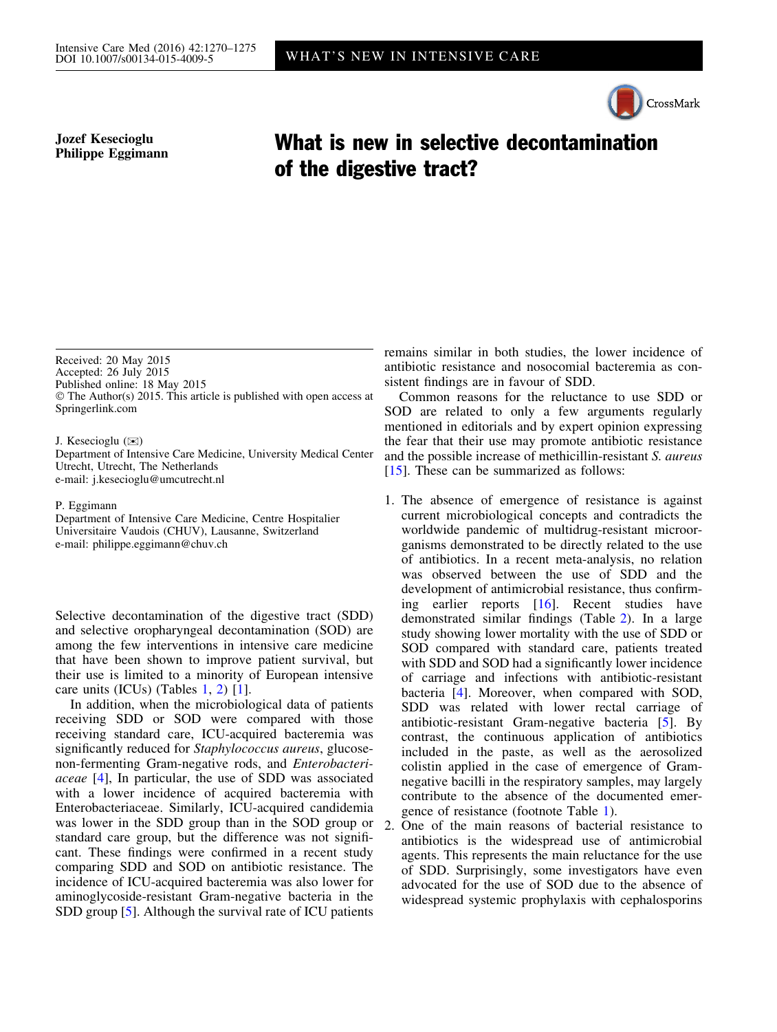## CrossMark

Jozef Kesecioglu

## Jozef Kesecioglu<br>Philippe Eggimann **What is new in selective decontamination** of the digestive tract?

Received: 20 May 2015

Accepted: 26 July 2015

Published online: 18 May 2015

© The Author(s) 2015. This article is published with open access at Springerlink.com

J. Kesecioglu  $(\mathbb{Z})$ 

Department of Intensive Care Medicine, University Medical Center Utrecht, Utrecht, The Netherlands e-mail: j.kesecioglu@umcutrecht.nl

P. Eggimann

Department of Intensive Care Medicine, Centre Hospitalier Universitaire Vaudois (CHUV), Lausanne, Switzerland e-mail: philippe.eggimann@chuv.ch

Selective decontamination of the digestive tract (SDD) and selective oropharyngeal decontamination (SOD) are among the few interventions in intensive care medicine that have been shown to improve patient survival, but their use is limited to a minority of European intensive care units (ICUs) (Tables [1,](#page-1-0) [2](#page-2-0)) [[1\]](#page-4-0).

In addition, when the microbiological data of patients receiving SDD or SOD were compared with those receiving standard care, ICU-acquired bacteremia was significantly reduced for *Staphylococcus aureus*, glucosenon-fermenting Gram-negative rods, and Enterobacteriaceae [[4\]](#page-5-0), In particular, the use of SDD was associated with a lower incidence of acquired bacteremia with Enterobacteriaceae. Similarly, ICU-acquired candidemia was lower in the SDD group than in the SOD group or standard care group, but the difference was not significant. These findings were confirmed in a recent study comparing SDD and SOD on antibiotic resistance. The incidence of ICU-acquired bacteremia was also lower for aminoglycoside-resistant Gram-negative bacteria in the SDD group [\[5](#page-5-0)]. Although the survival rate of ICU patients

remains similar in both studies, the lower incidence of antibiotic resistance and nosocomial bacteremia as consistent findings are in favour of SDD.

Common reasons for the reluctance to use SDD or SOD are related to only a few arguments regularly mentioned in editorials and by expert opinion expressing the fear that their use may promote antibiotic resistance and the possible increase of methicillin-resistant S. aureus [\[15\]](#page-5-0). These can be summarized as follows:

1. The absence of emergence of resistance is against current microbiological concepts and contradicts the worldwide pandemic of multidrug-resistant microorganisms demonstrated to be directly related to the use of antibiotics. In a recent meta-analysis, no relation was observed between the use of SDD and the development of antimicrobial resistance, thus confirming earlier reports [\[16\]](#page-5-0). Recent studies have demonstrated similar findings (Table [2\)](#page-2-0). In a large study showing lower mortality with the use of SDD or SOD compared with standard care, patients treated with SDD and SOD had a significantly lower incidence of carriage and infections with antibiotic-resistant bacteria [\[4](#page-5-0)]. Moreover, when compared with SOD, SDD was related with lower rectal carriage of antibiotic-resistant Gram-negative bacteria [[5\]](#page-5-0). By contrast, the continuous application of antibiotics included in the paste, as well as the aerosolized colistin applied in the case of emergence of Gramnegative bacilli in the respiratory samples, may largely contribute to the absence of the documented emergence of resistance (footnote Table [1](#page-1-0)).

2. One of the main reasons of bacterial resistance to antibiotics is the widespread use of antimicrobial agents. This represents the main reluctance for the use of SDD. Surprisingly, some investigators have even advocated for the use of SOD due to the absence of widespread systemic prophylaxis with cephalosporins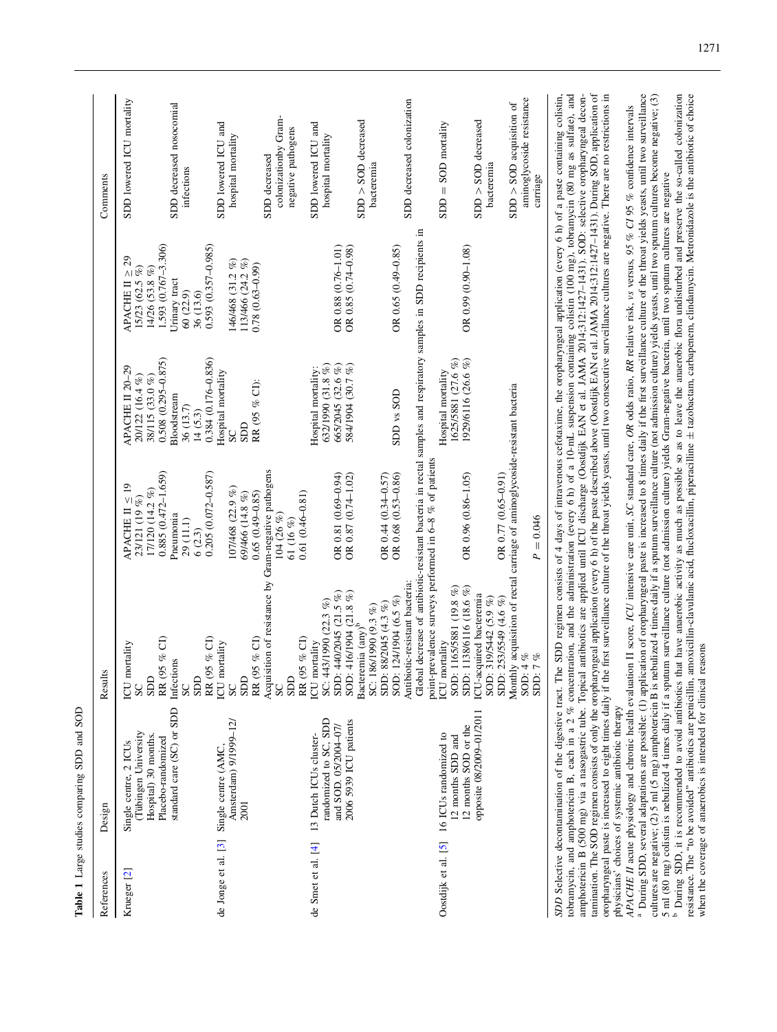<span id="page-1-0"></span>

| References             | Design                                                                                                                                                                                                                                                                                                                                                                                                                                                                                                                                                                                                                                                                                                                                                                                                                                                         | Ŝ<br>Result                                                                                                                                                                |                                                                                      |                                                                                    |                                                                                       | Comments                                                            |
|------------------------|----------------------------------------------------------------------------------------------------------------------------------------------------------------------------------------------------------------------------------------------------------------------------------------------------------------------------------------------------------------------------------------------------------------------------------------------------------------------------------------------------------------------------------------------------------------------------------------------------------------------------------------------------------------------------------------------------------------------------------------------------------------------------------------------------------------------------------------------------------------|----------------------------------------------------------------------------------------------------------------------------------------------------------------------------|--------------------------------------------------------------------------------------|------------------------------------------------------------------------------------|---------------------------------------------------------------------------------------|---------------------------------------------------------------------|
| Krueger <sup>[2]</sup> | (Tübingen University<br>Hospital) 30 months.<br>Single centre, 2 ICUs                                                                                                                                                                                                                                                                                                                                                                                                                                                                                                                                                                                                                                                                                                                                                                                          | ICU mortality<br>GOS<br>SC                                                                                                                                                 | APACHE II $\leq 19$<br>17/120 (14.2 %)<br>23/121 (19 %)                              | APACHE II 20-29<br>20/122 (16.4 %)<br>38/115 (33.0%)                               | $\mathfrak{S}$<br>APACHE II $\geq 2$<br>15/23 (62.5 %)<br>14/26 (53.8 %)              | SDD lowered ICU mortality                                           |
|                        | standard care (SC) or SDD<br>Placebo-randomized                                                                                                                                                                                                                                                                                                                                                                                                                                                                                                                                                                                                                                                                                                                                                                                                                | RR (95 % CI)<br>Infections<br>GOS<br>SC                                                                                                                                    | $0.885(0.472 - 1.659)$<br>Pneumonia<br>29 (11.1)<br>6(2.3)                           | $0.508(0.295 - 0.875)$<br>Bloodstream<br>36 (13.7)<br>14(5.3)                      | 1.593 (0.767-3.306)<br>Urinary tract<br>60 (22.9)<br>36 (13.6)                        | SDD decreased nosocomial<br>infections                              |
|                        | Amsterdam) 9/1999-12/<br>de Jonge et al. [3] Single centre (AMC,<br>2001                                                                                                                                                                                                                                                                                                                                                                                                                                                                                                                                                                                                                                                                                                                                                                                       | RR (95 % CI)<br>RR (95 % CI)<br>ICU mortality<br>GOS<br>SC                                                                                                                 | $0.205(0.072 - 0.587)$<br>107/468 (22.9 %)<br>$0.65(0.49 - 0.85)$<br>69/466 (14.8 %) | $0.384(0.176 - 0.836)$<br>Hospital mortality<br>RR (95 % CI):<br><b>GCS</b><br>SC  | $0.593(0.357 - 0.985)$<br>146/468 (31.2 %)<br>113/466 (24.2 %)<br>$0.78(0.63 - 0.99)$ | SDD lowered ICU and<br>hospital mortality                           |
|                        |                                                                                                                                                                                                                                                                                                                                                                                                                                                                                                                                                                                                                                                                                                                                                                                                                                                                | Acquisition of resistance by Gram-negative pathogens<br>SDD<br>SC                                                                                                          | $0.61(0.46 - 0.81)$<br>104 (26 %)<br>61 (16 %)                                       |                                                                                    |                                                                                       | colonizationby Gram-<br>negative pathogens<br>SDD decreased         |
| de Smet et al. [4]     | randomized to SC, SDD<br>2006 5939 ICU patients<br>and SOD. 05/2004-07/<br>13 Dutch ICUs cluster-                                                                                                                                                                                                                                                                                                                                                                                                                                                                                                                                                                                                                                                                                                                                                              | 440/2045 (21.5 %)<br>SC: 443/1990 (22.3 %)<br>RR (95 $\%$ CI) ICU mortality<br>SD <sub>D</sub> :                                                                           | OR 0.81 (0.69-0.94)<br>OR 0.87 (0.74-1.02)                                           | 665/2045 (32.6 %)<br>584/1904 (30.7 %)<br>632/1990 (31.8 %)<br>Hospital mortality: | OR 0.88 (0.76-1.01)<br>OR 0.85 (0.74-0.98)                                            | SDD lowered ICU and<br>hospital mortality                           |
|                        |                                                                                                                                                                                                                                                                                                                                                                                                                                                                                                                                                                                                                                                                                                                                                                                                                                                                | SOD: 416/1904 (21.8 %)<br>Bacteremia (any) <sup>b</sup><br>88/2045 (4.3 %)<br>86/1990 (9.3 %)<br>SC: 1<br>SD <sub>D</sub> :                                                | OR 0.44 (0.34-0.57)                                                                  |                                                                                    |                                                                                       | $SDD > SOD$ decreased<br>bacteremia                                 |
|                        |                                                                                                                                                                                                                                                                                                                                                                                                                                                                                                                                                                                                                                                                                                                                                                                                                                                                | Global decrease of antibiotic-resistant bacteria in rectal samples and respiratory samples in SDD recipients in<br>Antibiotic-resistant bacteria:<br>SOD: 124/1904 (6.5 %) | OR 0.68 (0.53-0.86)                                                                  | SDD vs SOD                                                                         | OR $0.65(0.49 - 0.85)$                                                                | SDD decreased colonization                                          |
|                        | 12 months SOD or the<br>Oostdijk et al. [5] 16 ICUs randomized to<br>12 months SDD and                                                                                                                                                                                                                                                                                                                                                                                                                                                                                                                                                                                                                                                                                                                                                                         | point-prevalence surveys performed in 6-8 % of patients<br>SDD: 1138/6116 (18.6 %)<br>1165/5881 (19.8 %)<br>ICU mortality<br>SOD:                                          | OR 0.96 (0.86-1.05)                                                                  | 1625/5881 (27.6 %)<br>1929/6116 (26.6 %)<br>Hospital mortality                     | OR 0.99 (0.90-1.08)                                                                   | $SDD = SOD$ mortality                                               |
|                        | opposite 08/2009-01/2011                                                                                                                                                                                                                                                                                                                                                                                                                                                                                                                                                                                                                                                                                                                                                                                                                                       | ICU-acquired bacteremia<br>319/5442 (5.9 %)<br>253/5549 (4.6 %)<br>SOD:<br>SDD:                                                                                            | OR 0.77 (0.65-0.91)                                                                  |                                                                                    |                                                                                       | $SDD > SOD$ decreased<br>bacteremia                                 |
|                        |                                                                                                                                                                                                                                                                                                                                                                                                                                                                                                                                                                                                                                                                                                                                                                                                                                                                | Monthly acquisition of rectal carriage of aminoglycoside-resistant bacteria<br>4%<br>7%<br>SOD:<br>SD <sub>D</sub> :                                                       | $P = 0.046$                                                                          |                                                                                    |                                                                                       | aminoglycoside resistance<br>$SDD > SOD$ acquisition of<br>carriage |
|                        | amphotericin B (500 mg) via a nasogastric tube. Topical antibiotics are applied until ICU discharge (Oostdijk EAN et al. JAMA 2014;312:1427-1431). SOD: selective oropharyngeal decon-<br>tamination. The SOD regimen consists of<br>oropharyngeal paste is increased to eight times daily if the first surveillance culture of the throat yields yeasts, until two consecutive surveillance cultures are negative. There are no restrictions in physicians' choice<br>tobramycin, and amphotericin B, each in a 2 % concentration, and the administration (every 6 h) of a 10-mL suspension containing colistin (100 mg), tobramycin (80 mg as sulfate), and<br>SDD Selective decontamination of the digestive tract. The SDD regimen consists of 4 days of intravenous cefotaxime, the oropharyngeal application (every 6 h) of a paste containing colistin, |                                                                                                                                                                            |                                                                                      |                                                                                    |                                                                                       |                                                                     |
|                        | <sup>a</sup> During SDD, several adaptations are possible: (1) application of oropharyngeal paste is increased to 8 times daily if the first surveillance culture of the throat yields yeasts, until two surveillance<br>cultures are negative; (2) 5 ml (5 mg) amphotericin B is nebulized 4 times daily if a sputum surveillance culture (not admission culture) yields yeasts, until two sputum cultures become negative; (3)<br>5 ml (80 mg) colistin<br>APACHE II acute physiology and chronic health evaluation II score, ICU intensive care unit, SC standard care, OR odds ratio, RR relative risk, as versus, 95 % CI 95 % confidence intervals                                                                                                                                                                                                       |                                                                                                                                                                            |                                                                                      |                                                                                    |                                                                                       |                                                                     |

<sup>a</sup> During SDD, several adaptations are possible: (1) application of oropharyngeal paste is increased to 8 times daily if the first surveillance culture of the throat yields yeasts, until two surveillance cultures are negative; (2) 5 ml (5 mg) amphotericin B is nebulized 4 times daily if a sputum surveillance culture (not admission culture) yields yeasts, until two sputum cultures become negative; (3) 5 ml (80 mg) colistin is nebulized 4 times daily if a sputum surveillance culture (not admission culture) yields Gram-negative bacteria, until two sputum cultures are negative During SDD, it is recommended to avoid antibiotics that have anaerobic activity as much as possible so as to leave the anaerobic flora undisturbed and preserve the so-called colonization resistance. The ''to be avoided'' antibiotics are penicillin, amoxicillin-clavulanic acid, flucloxacillin, piperacilline ± tazobactam, carbapenem, clindamycin. Metronidazole is the antibiotic of choice when the coverage of anaerobics is intended for clinical reasons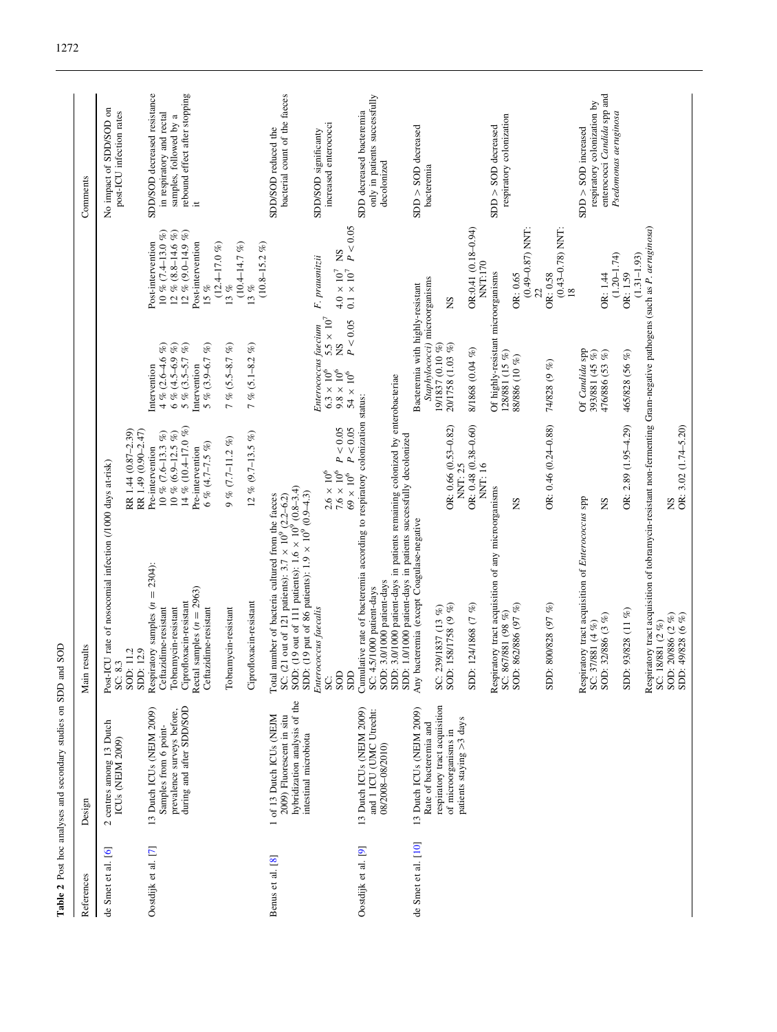<span id="page-2-0"></span>

| References          | Design                                                                                                          | results<br>Main                                                                                                                                                                                                                                                                                         |                                                                                                                                                |                                                                                                                                |                                                                                                                       | Comments                                                                                                             |
|---------------------|-----------------------------------------------------------------------------------------------------------------|---------------------------------------------------------------------------------------------------------------------------------------------------------------------------------------------------------------------------------------------------------------------------------------------------------|------------------------------------------------------------------------------------------------------------------------------------------------|--------------------------------------------------------------------------------------------------------------------------------|-----------------------------------------------------------------------------------------------------------------------|----------------------------------------------------------------------------------------------------------------------|
| de Smet et al. [6]  | 2 centres among 13 Dutch<br>ICUs (NEJM 2009)                                                                    | Post-ICU rate of nosocomial infection (/1000 days at-risk)<br>SOD: 11.2<br>SC: 8.3                                                                                                                                                                                                                      | RR 1.44 (0.87-2.39)                                                                                                                            |                                                                                                                                |                                                                                                                       | No impact of SDD/SOD on<br>post-ICU infection rates                                                                  |
| Oostdijk et al. [7] | during and after SDD/SOD<br>13 Dutch ICUs (NEJM 2009)<br>prevalence surveys before,<br>Samples from 6 point-    | Respiratory samples $(n = 2304)$ :<br>samples $(n = 2963)$<br>Ciprofloxacin-resistant<br>Ceftazidime-resistant<br>Ceftazidime-resistant<br>Tobramycin-resistant<br>12.9<br>SDD:<br>Rectal                                                                                                               | 14 % (10.4-17.0 %)<br>RR 1.49 (0.90-2.47)<br>10 % (7.6-13.3 %)<br>10 % (6.9-12.5 %)<br>6 % (4.7–7.5 %)<br>Pre-intervention<br>Pre-intervention | $6\% (4.5 - 6.9\%)$<br>5 % $(3.9 - 6.7 %$<br>$4\%$ (2.6–4.6 %)<br>5 % $(3.5 - 5.7 %)$<br>Intervention<br>Intervention          | $10\%$ (7.4–13.0 %)<br>$12\%$ (8.8-14.6 %)<br>$12\%$ (9.0-14.9 %)<br>Post-intervention<br>Post-intervention<br>$15\%$ | SDD/SOD decreased resistance<br>rebound effect after stopping<br>in respiratory and rectal<br>samples, followed by a |
|                     |                                                                                                                 | Ciprofloxacin-resistant<br>Tobramycin-resistant                                                                                                                                                                                                                                                         | 12 % (9.7-13.5 %)<br>$9\% (7.7-11.2\%)$                                                                                                        | 7% $(5.5 - 8.7 %)$<br>7 % $(5.1 - 8.2\%)$                                                                                      | $(12.4 - 17.0\%)$<br>$(10.4 - 14.7 %)$<br>$13\%$<br>$13\%$                                                            |                                                                                                                      |
| Benus et al. [8]    | hybridization analysis of the<br>1 of 13 Dutch ICUs (NEJM<br>2009) Fluorescent in situ<br>intestinal microbiota | (19 out of 111 patients): $1.6 \times 10^{9}$ (0.8-3.4)<br>(19 put of 86 patients): $1.9 \times 10^{9} (0.9 - 4.3)$<br>SC: (21 out of 121 patients): $3.7 \times 10^9$ (2.2-6.2)<br>number of bacteria cultured from the faeces<br>SOD:<br>SD <sub>D</sub> :<br>Total                                   |                                                                                                                                                |                                                                                                                                | P)<br>$(10.8 - 15.2)$                                                                                                 | bacterial count of the faeces<br>SDD/SOD reduced the                                                                 |
|                     |                                                                                                                 | Enterococcus faecalis<br>SOD<br>GCS<br>SC.                                                                                                                                                                                                                                                              | $P<0.05$<br>P < 0.05<br>$7.6 \times 10^6$<br>$69\times10^6$<br>$2.6\times10^6$                                                                 | $5.5\,\times\,10^7$<br>P < 0.05<br>Enterococcus faecium<br><b>SN</b><br>$9.8 \times 10^6$<br>$6.3\times10^6$<br>$54\times10^6$ | P < 0.05<br>Σ<br>F. prausnitzii<br>$0.1\,\times\,10^7$<br>$4.0\times10^7$                                             | increased enterococci<br>SDD/SOD significanty                                                                        |
| Oostdijk et al. [9] | 13 Dutch ICUs (NEJM 2009)<br>and 1 ICU (UMC Utrecht:<br>08/2008-08/2010)                                        | 3.0/1000 patient-days in patients remaining colonized by enterobacteriae<br>Cumulative rate of bacteremia according to respiratory colonization status:<br>1.0/1000 patient-days in patients successfully decolonized<br>3.0/1000 patient-days<br>.5/1000 patient-days<br>SC: 4<br>SOD:<br>SDD:<br>SDD: |                                                                                                                                                |                                                                                                                                |                                                                                                                       | only in patients successfully<br>SDD decreased bacteremia<br>decolonized                                             |
| de Smet et al. [10] | respiratory tract acquisition<br>13 Dutch ICUs (NEJM 2009)<br>Rate of bacteremia and<br>of microorganisms in    | acteremia (except Coagulase-negative<br>158/1758 (9 %)<br>SC: 239/1837 (13 %)<br>Any bi<br>SOD:                                                                                                                                                                                                         | OR: 0.66 (0.53-0.82)                                                                                                                           | Staphylococci) microorganisms<br>Bacteremia with highly-resistant<br>19/1837 (0.10 %)<br>20/1758 (1.03 %)                      | ΣÑ                                                                                                                    | $SDD > SOD$ decreased<br>bacteremia                                                                                  |
|                     | patients staying >3 days                                                                                        | Respiratory tract acquisition of any microorganisms<br>124/1868 (7 %)<br>862/886 (97 %)<br>SC: 867/881 (98 %)<br>SDD:<br>SOD:                                                                                                                                                                           | OR: $0.48$ $(0.38 - 0.60)$<br>NNT: 25<br>NNT: 16<br>SN                                                                                         | Of highly-resistant microorganisms<br>8/1868 (0.04 %)<br>128/881 (15 %)<br>88/886 (10 %)                                       | $OR: 0.41 (0.18 - 0.94)$<br>$(0.49 - 0.87)$ NNT:<br><b>NNT:170</b><br>OR: 0.65                                        | respiratory colonization<br>$SDD > SOD$ decreased                                                                    |
|                     |                                                                                                                 | Respiratory tract acquisition of Enterococcus spp<br>800/828 (97 %)<br>SDD:                                                                                                                                                                                                                             | OR: 0.46 (0.24-0.88)                                                                                                                           | Of Candida spp<br>74/828 (9 %)                                                                                                 | $(0.43 - 0.78)$ NNT:<br>OR: 0.58<br>$\frac{8}{18}$<br>S                                                               | $SDD > SOD$ increased                                                                                                |
|                     |                                                                                                                 | 32/886 (3 %)<br>SC: 37/881 (4 %)<br>SOD:                                                                                                                                                                                                                                                                | SN                                                                                                                                             | 393/881 (45 %)<br>476/886 (53 %)                                                                                               | $(1.20 - 1.74)$<br>OR: 1.44                                                                                           | enterococci Candida spp and<br>respiratory colonization by<br>Psedomonas aeruginosa                                  |
|                     |                                                                                                                 | Respiratory tract acquisition of tobramycin-resistant non-fermenting Gram-negative pathogens (such as P. aeruginosa)<br>93/828 (11 %)<br>$20/886$ (2 %)<br>49/828 (6 %)<br>8/881 (2 %)<br>SDD:<br>SOD:<br>SDD:<br>SC: 1                                                                                 | OR: $2.89(1.95-4.29)$<br>OR: 3.02 (1.74-5.20)<br>ŠN                                                                                            | 465/828 (56 %)                                                                                                                 | $(1.31 - 1.93)$<br>OR: 1.59                                                                                           |                                                                                                                      |

Table 2 Post hoc analyses and secondary studies on SDD and SOD Table 2 Post hoc analyses and secondary studies on SDD and SOD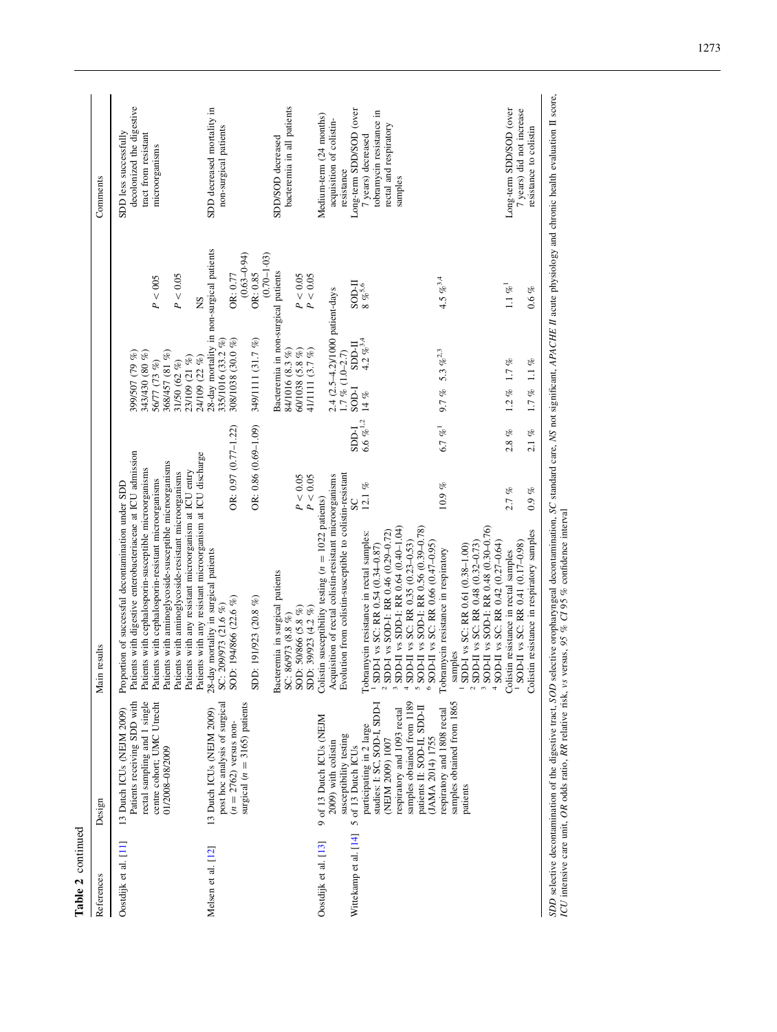| Table 2 continued                             |                                                                                                                                                                                                                                              |                                                                                                                                                                                                                                                                                                                                                                                                                                                                 |                                                    |                                                                                                                      |                                                            |                                                                                                                                                                                     |
|-----------------------------------------------|----------------------------------------------------------------------------------------------------------------------------------------------------------------------------------------------------------------------------------------------|-----------------------------------------------------------------------------------------------------------------------------------------------------------------------------------------------------------------------------------------------------------------------------------------------------------------------------------------------------------------------------------------------------------------------------------------------------------------|----------------------------------------------------|----------------------------------------------------------------------------------------------------------------------|------------------------------------------------------------|-------------------------------------------------------------------------------------------------------------------------------------------------------------------------------------|
| References                                    | Design                                                                                                                                                                                                                                       | Main results                                                                                                                                                                                                                                                                                                                                                                                                                                                    |                                                    |                                                                                                                      |                                                            | Comments                                                                                                                                                                            |
| Oostdijk et al. [11]                          | rectal sampling and 1 single<br>Patients receiving SDD with<br>centre cohort; UMC Utrecht<br>13 Dutch ICUs (NEJM 2009)<br>01/2008-08/2009                                                                                                    | Patients with digestive enterobacteriaceae at ICU admission<br>Patients with aminoglycoside-susceptible microorganisms<br>Patients with cephalosporin-susceptible microorganisms<br>Patients with any resistant microorganism at ICU entry<br>Patients with aminoglycoside-resistant microorganisms<br>Patients with cephalosporin-resistant microorganisms<br>Proportion of successful decontamination under SDD                                               |                                                    | 368/457 (81 %)<br>399/507 (79 %)<br>343/430 (80 %)<br>23/109 (21 %)<br>24/109 (22 %)<br>56/77 (73 %)<br>31/50 (62 %) | P < 0.05<br>P < 005<br>2N                                  | decolonized the digestive<br>SDD less successfully<br>tract from resistant<br>microorganisms                                                                                        |
| Melsen et al. [12]                            | post hoc analysis of surgical<br>surgical $(n = 3165)$ patients<br>13 Dutch ICUs (NEJM 2009)<br>$(n = 2762)$ versus non-                                                                                                                     | Patients with any resistant microorganism at ICU discharge<br>28-day mortality in surgical patients<br>SC: 209/973 (21.6 %)<br>SDD: 191/923 (20.8 %)<br>SOD: 194/866 (22.6 %)                                                                                                                                                                                                                                                                                   | OR: $0.86$ $(0.69 - 1.09)$<br>OR: 0.97 (0.77-1.22) | 28-day mortality in non-surgical patients<br>335/1016 (33.2 %)<br>308/1038 (30.0 %)<br>349/1111 (31.7 %)             | $(0.63 - 0.94)$<br>$(0.70 - 1.03)$<br>OR: 0.85<br>OR: 0.77 | SDD decreased mortality in<br>non-surgical patients                                                                                                                                 |
|                                               |                                                                                                                                                                                                                                              | Bacteremia in surgical patients<br>SC: 86/973 (8.8 %)<br>SOD: 50/866 (5.8 %)<br>SDD: 39/923 (4.2 %)                                                                                                                                                                                                                                                                                                                                                             | $P < 0.05$<br>$P < 0.05$                           | Bacteremia in non-surgical patients<br>60/1038 (5.8 %)<br>41/1111 (3.7 %)<br>84/1016 (8.3 %)                         | P < 0.05<br>P < 0.05                                       | bacteremia in all patients<br>SDD/SOD decreased                                                                                                                                     |
| Wittekamp et al. [14]<br>Oostdijk et al. [13] | studies: I: SC, SOD-I, SDD-I<br>samples obtained from 1189<br>respiratory and 1093 rectal<br>9 of 13 Dutch ICUs (NEJM<br>participating in 2 large<br>susceptibility testing<br>(NEJM 2009) 1007<br>2009) with colistin<br>5 of 13 Dutch ICUs | Acquisition of rectal colistin-resistant microorganisms<br>Evolution from colistin-susceptible to colistin-resistant<br>Colistin susceptibility testing $(n = 1022 \text{ patients})$<br>SDD-II vs SDD-I: RR 0.64 (0.40-1.04)<br>SDD-I vs SOD-I: RR 0.46 (0.29-0.72)<br>Tobramycin resistance in rectal samples:<br>SDD-II vs SC: RR 0.35 (0.23-0.53)<br><sup>1</sup> SDD-I vs SC: RR 0.54 (0.34-0.87)<br>$\omega$<br>$\mathcal{L}$<br>$\overline{\phantom{a}}$ | $6.6~\%^{1,2}$<br><b>FGGS</b><br>$12.1\%$<br>SC    | 2.4 (2.5-4.2)/1000 patient-days<br>1.7 % (1.0-2.7)<br>$4.2\%^{3,4}$<br><b>II-CCCS</b><br><b>FOOS</b><br>14 $\%$      | II-IOS<br>$8~\%^{5,6}$                                     | Long-term SDD/SOD (over<br>tobramycin resistance in<br>Medium-term (24 months)<br>acquisition of colistin-<br>rectal and respiratory<br>7 years) decreased<br>resistance<br>samples |
|                                               | samples obtained from 1865<br>patients II: SOD-II, SDD-II<br>respiratory and 1808 rectal<br>(JAMA 2014) 1755<br>patients                                                                                                                     | SOD-II vs SOD-I: RR 0.48 (0.30-0.76)<br>SOD-II vs SOD-I: RR 0.56 (0.39-0.78)<br>SDD-II vs SC: RR 0.48 (0.32-0.73)<br>$6$ SOD-II vs SC: RR 0.66 (0.47-0.95)<br>SDD-I vs SC: RR 0.61 (0.38-1.00)<br>Tobramycin resistance in respiratory<br>samples<br>$\omega$<br>$\mathfrak{g}$                                                                                                                                                                                 | 6.7 % <sup>1</sup><br>$10.9\%$                     | 9.7 % 5.3 $\%$ <sup>2.3</sup>                                                                                        | 4.5 % $^{3,4}$                                             |                                                                                                                                                                                     |
|                                               |                                                                                                                                                                                                                                              | <sup>1</sup> SOD-II vs SC: RR 0.41 (0.17-0.98)<br>SOD-II vs SC: RR 0.42 (0.27-0.64)<br>Colistin resistance in rectal samples<br>$\Rightarrow$                                                                                                                                                                                                                                                                                                                   | 2.8~%<br>2.1~%<br>$2.7\%$<br>$0.9~\%$              | $1.2\%$ 1.7%<br>$1.7\%$ 1.1 %                                                                                        | $1.1~\% ^1$<br>$0.6~\%$                                    | Long-term SDD/SOD (over<br>7 years) did not increase                                                                                                                                |
|                                               |                                                                                                                                                                                                                                              | Colistin resistance in respiratory samples                                                                                                                                                                                                                                                                                                                                                                                                                      |                                                    |                                                                                                                      |                                                            | resistance to colistin                                                                                                                                                              |

SDD selective decontamination of the digestive tract, SOD selective oropharyngeal decontamination, SC standard care, NS not significant, APACHE II acute physiology and chronic health evaluation II score,<br>ICU intensive care SDD selective decontamination of the digestive tract, SOD selective oropharyngeal decontamination, SC standard care, NS not significant, APACHE II acute physiology and chronic health evaluation II score, ICU intensive care unit, OR odds ratio, RR relative risk, vs versus, 95 % CI 95 % confidence interval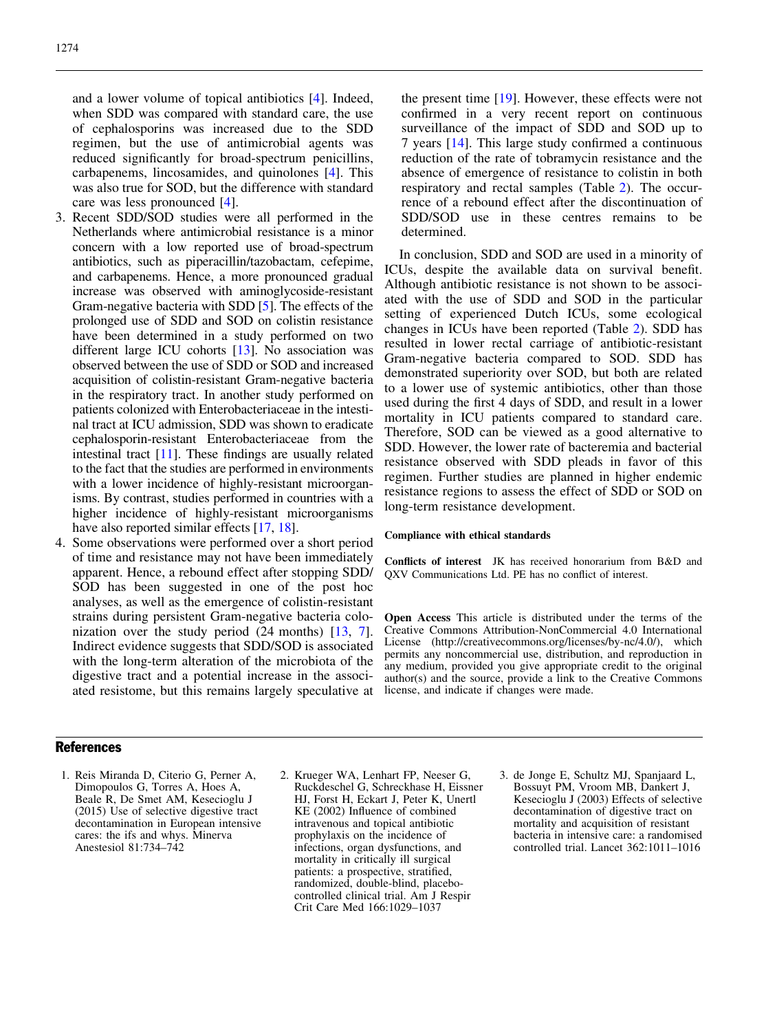<span id="page-4-0"></span>and a lower volume of topical antibiotics [\[4](#page-5-0)]. Indeed, when SDD was compared with standard care, the use of cephalosporins was increased due to the SDD regimen, but the use of antimicrobial agents was reduced significantly for broad-spectrum penicillins, carbapenems, lincosamides, and quinolones [\[4](#page-5-0)]. This was also true for SOD, but the difference with standard care was less pronounced [[4](#page-5-0)].

- 3. Recent SDD/SOD studies were all performed in the Netherlands where antimicrobial resistance is a minor concern with a low reported use of broad-spectrum antibiotics, such as piperacillin/tazobactam, cefepime, and carbapenems. Hence, a more pronounced gradual increase was observed with aminoglycoside-resistant Gram-negative bacteria with SDD [\[5](#page-5-0)]. The effects of the prolonged use of SDD and SOD on colistin resistance have been determined in a study performed on two different large ICU cohorts [[13\]](#page-5-0). No association was observed between the use of SDD or SOD and increased acquisition of colistin-resistant Gram-negative bacteria in the respiratory tract. In another study performed on patients colonized with Enterobacteriaceae in the intestinal tract at ICU admission, SDD was shown to eradicate cephalosporin-resistant Enterobacteriaceae from the intestinal tract [[11\]](#page-5-0). These findings are usually related to the fact that the studies are performed in environments with a lower incidence of highly-resistant microorganisms. By contrast, studies performed in countries with a higher incidence of highly-resistant microorganisms have also reported similar effects [[17,](#page-5-0) [18](#page-5-0)].
- 4. Some observations were performed over a short period of time and resistance may not have been immediately apparent. Hence, a rebound effect after stopping SDD/ SOD has been suggested in one of the post hoc analyses, as well as the emergence of colistin-resistant strains during persistent Gram-negative bacteria colonization over the study period (24 months) [[13](#page-5-0), [7](#page-5-0)]. Indirect evidence suggests that SDD/SOD is associated with the long-term alteration of the microbiota of the digestive tract and a potential increase in the associated resistome, but this remains largely speculative at

the present time [\[19\]](#page-5-0). However, these effects were not confirmed in a very recent report on continuous surveillance of the impact of SDD and SOD up to 7 years [[14](#page-5-0)]. This large study confirmed a continuous reduction of the rate of tobramycin resistance and the absence of emergence of resistance to colistin in both respiratory and rectal samples (Table [2](#page-2-0)). The occurrence of a rebound effect after the discontinuation of SDD/SOD use in these centres remains to be determined.

In conclusion, SDD and SOD are used in a minority of ICUs, despite the available data on survival benefit. Although antibiotic resistance is not shown to be associated with the use of SDD and SOD in the particular setting of experienced Dutch ICUs, some ecological changes in ICUs have been reported (Table [2\)](#page-2-0). SDD has resulted in lower rectal carriage of antibiotic-resistant Gram-negative bacteria compared to SOD. SDD has demonstrated superiority over SOD, but both are related to a lower use of systemic antibiotics, other than those used during the first 4 days of SDD, and result in a lower mortality in ICU patients compared to standard care. Therefore, SOD can be viewed as a good alternative to SDD. However, the lower rate of bacteremia and bacterial resistance observed with SDD pleads in favor of this regimen. Further studies are planned in higher endemic resistance regions to assess the effect of SDD or SOD on long-term resistance development.

## Compliance with ethical standards

Conflicts of interest JK has received honorarium from B&D and QXV Communications Ltd. PE has no conflict of interest.

Open Access This article is distributed under the terms of the Creative Commons Attribution-NonCommercial 4.0 International License (http://creativecommons.org/licenses/by-nc/4.0/), which permits any noncommercial use, distribution, and reproduction in any medium, provided you give appropriate credit to the original author(s) and the source, provide a link to the Creative Commons license, and indicate if changes were made.

## **References**

- 1. Reis Miranda D, Citerio G, Perner A, Dimopoulos G, Torres A, Hoes A, Beale R, De Smet AM, Kesecioglu J (2015) Use of selective digestive tract decontamination in European intensive cares: the ifs and whys. Minerva Anestesiol 81:734–742
- 2. Krueger WA, Lenhart FP, Neeser G, Ruckdeschel G, Schreckhase H, Eissner HJ, Forst H, Eckart J, Peter K, Unertl KE (2002) Influence of combined intravenous and topical antibiotic prophylaxis on the incidence of infections, organ dysfunctions, and mortality in critically ill surgical patients: a prospective, stratified, randomized, double-blind, placebocontrolled clinical trial. Am J Respir Crit Care Med 166:1029–1037
- 3. de Jonge E, Schultz MJ, Spanjaard L, Bossuyt PM, Vroom MB, Dankert J, Kesecioglu J (2003) Effects of selective decontamination of digestive tract on mortality and acquisition of resistant bacteria in intensive care: a randomised controlled trial. Lancet 362:1011–1016